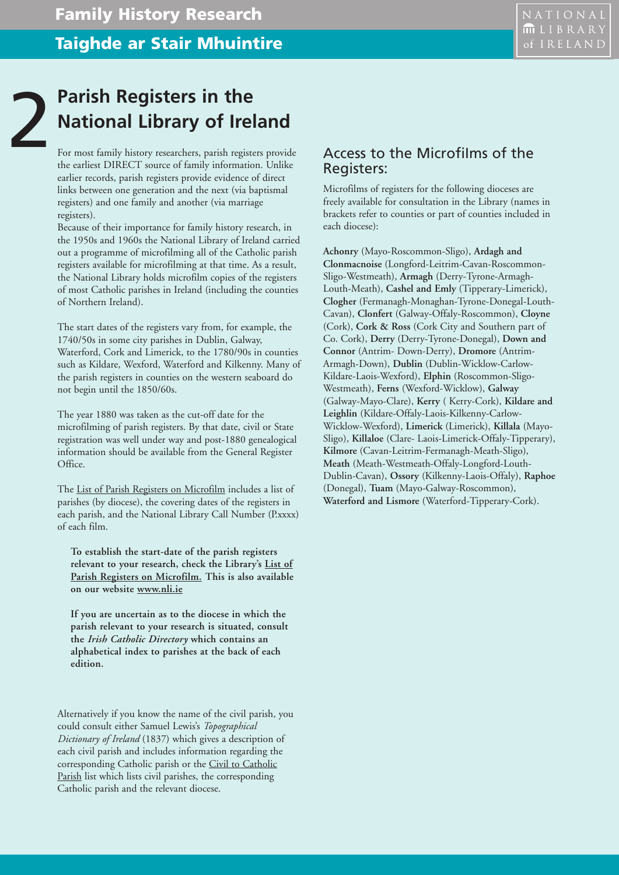## **Parish Registers in the<br>National Library of Ire**<br>For most family history researchers, parish regist **National Library of Ireland**

For most family history researchers, parish registers provide the earliest DIRECT source of family information. Unlike earlier records, parish registers provide evidence of direct links between one generation and the next (via baptismal registers) and one family and another (via marriage registers).

Because of their importance for family history research, in the 1950s and 1960s the National Library of Ireland carried out a programme of microfilming all of the Catholic parish registers available for microfilming at that time. As a result, the National Library holds microfilm copies of the registers of most Catholic parishes in Ireland (including the counties of Northern Ireland).

The start dates of the registers vary from, for example, the 1740/50s in some city parishes in Dublin, Galway, Waterford, Cork and Limerick, to the 1780/90s in counties such as Kildare, Wexford, Waterford and Kilkenny. Many of the parish registers in counties on the western seaboard do not begin until the 1850/60s.

The year 1880 was taken as the cut-off date for the microfilming of parish registers. By that date, civil or State registration was well under way and post-1880 genealogical information should be available from the General Register Office.

The List of Parish Registers on Microfilm includes a list of parishes (by diocese), the covering dates of the registers in each parish, and the National Library Call Number (P.xxxx) of each film.

**To establish the start-date of the parish registers relevant to your research, check the Library's List of Parish Registers on Microfilm. This is also available on our website www.nli.ie**

**If you are uncertain as to the diocese in which the parish relevant to your research is situated, consult the** *Irish Catholic Directory* **which contains an alphabetical index to parishes at the back of each edition.**

Alternatively if you know the name of the civil parish, you could consult either Samuel Lewis's *Topographical Dictionary of Ireland* (1837) which gives a description of each civil parish and includes information regarding the corresponding Catholic parish or the Civil to Catholic Parish list which lists civil parishes, the corresponding Catholic parish and the relevant diocese.

## Access to the MicrofiIms of the Registers:

Microfilms of registers for the following dioceses are freely available for consultation in the Library (names in brackets refer to counties or part of counties included in each diocese):

**Achonry** (Mayo-Roscommon-Sligo), **Ardagh and Clonmacnoise** (Longford-Leitrim-Cavan-Roscommon-Sligo-Westmeath), **Armagh** (Derry-Tyrone-Armagh-Louth-Meath), **Cashel and Emly** (Tipperary-Limerick), **Clogher** (Fermanagh-Monaghan-Tyrone-Donegal-Louth-Cavan), **Clonfert** (Galway-Offaly-Roscommon), **Cloyne** (Cork), **Cork & Ross** (Cork City and Southern part of Co. Cork), **Derry** (Derry-Tyrone-Donegal), **Down and Connor** (Antrim- Down-Derry), **Dromore** (Antrim-Armagh-Down), **Dublin** (Dublin-Wicklow-Carlow-Kildare-Laois-Wexford), **Elphin** (Roscommon-Sligo-Westmeath), **Ferns** (Wexford-Wicklow), **Galway** (Galway-Mayo-Clare), **Kerry** ( Kerry-Cork), **Kildare and Leighlin** (Kildare-Offaly-Laois-Kilkenny-Carlow-Wicklow-Wexford), **Limerick** (Limerick), **Killala** (Mayo-Sligo), **Killaloe** (Clare- Laois-Limerick-Offaly-Tipperary), **Kilmore** (Cavan-Leitrim-Fermanagh-Meath-Sligo), **Meath** (Meath-Westmeath-Offaly-Longford-Louth-Dublin-Cavan), **Ossory** (Kilkenny-Laois-Offaly), **Raphoe** (Donegal), **Tuam** (Mayo-Galway-Roscommon), **Waterford and Lismore** (Waterford-Tipperary-Cork).